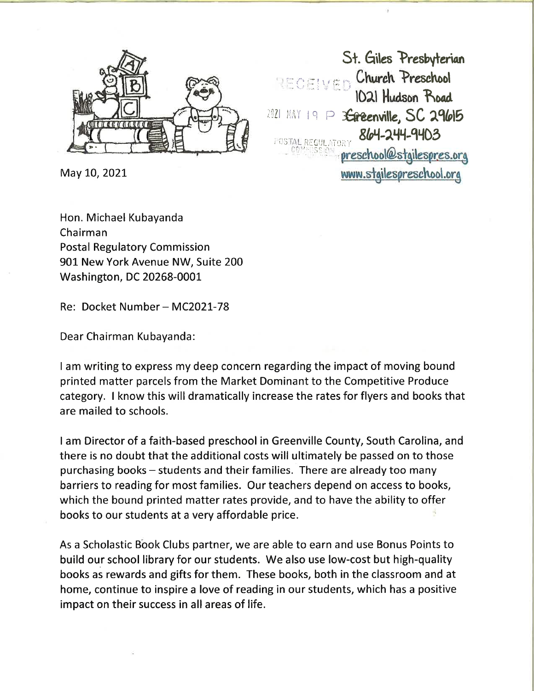

May 10, 2021

Hon. Michael Kubayanda Chairman Postal Regulatory Commission 901 New York Avenue NW, Suite 200 Washington, DC 20268-0001

Re: Docket Number - MC2021-78

Dear Chairman Kubayanda:

I am writing to express my deep concern regarding the impact of moving bound printed matter parcels from the Market Dominant to the Competitive Produce category. I know this will dramatically increase the rates for flyers and books that are mailed to schools.

I am Director of a faith-based preschool in Greenville County, South Carolina, and there is no doubt that the additional costs will ultimately be passed on to those purchasing books - students and their families. There are already too many barriers to reading for most families. Our teachers depend on access to books, which the bound printed matter rates provide, and to have the ability to offer books to our students at a very affordable price.

As a Scholastic Book Clubs partner, we are able to earn and use Bonus Points to build our school library for our students. We also use low-cost but high-quality books as rewards and gifts for them. These books, both in the classroom and at home, continue to inspire a love of reading in our students, which has a positive impact on their success in all areas of life.

St. Giles Presbyterian  $\epsilon$   $\epsilon$ <sub>i</sub>  $\epsilon$ <sub>D</sub>  $\epsilon$ <sup>1</sup> Church Preschool Hudson Koad  $1021$  MAY  $19 \text{ } P$  3 Ereenville, SC 29615 POSTAL REGULATORY UNIVERSITY OF POSTAL REGULATORY www.stgilespreschool.org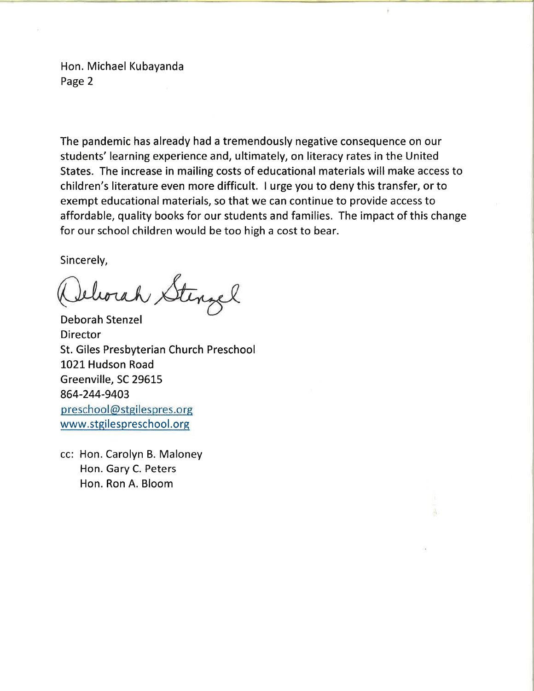Hon. Michael Kubayanda Page 2

The pandemic has already had a tremendously negative consequence on our students' learning experience and, ultimately, on literacy rates in the United States. The increase in mailing costs of educational materials will make access to children's literature even more difficult. I urge you to deny this transfer, or to exempt educational materials, so that we can continue to provide access to affordable, quality books for our students and families. The impact of this change for our school children would be too high a cost to bear.

Sincerely,

Ielorah Stenzel

Deborah Stenzel Director St. Giles Presbyterian Church Preschool 1021 Hudson Road Greenville, SC 29615 864-244-9403 preschool@stgilespres.org www.stgilespreschool.org

cc: Hon. Carolyn B. Maloney Hon. Gary C. Peters Hon. Ron A. Bloom